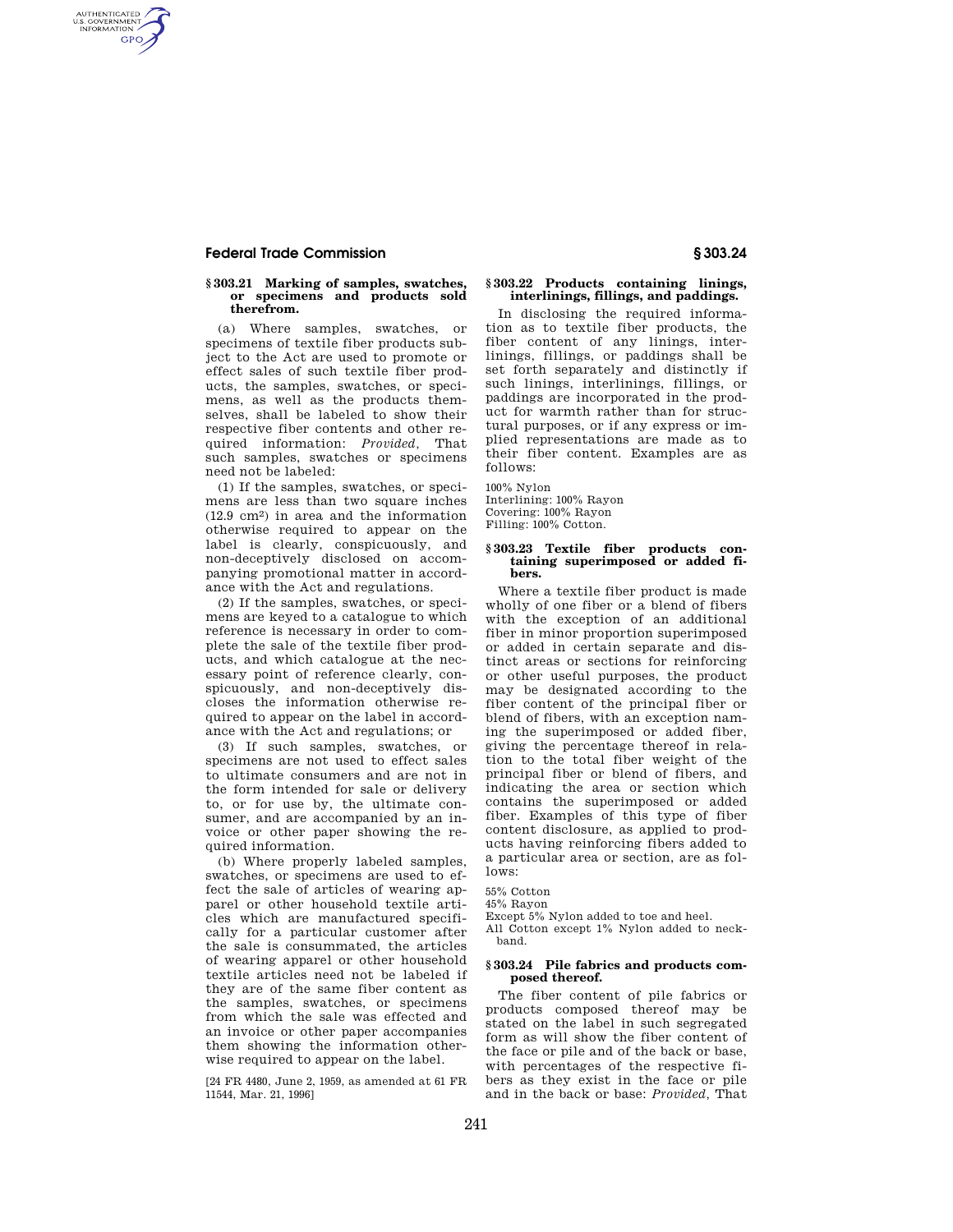## **Federal Trade Commission § 303.24**

AUTHENTICATED<br>U.S. GOVERNMENT<br>INFORMATION **GPO** 

#### **§ 303.21 Marking of samples, swatches, or specimens and products sold therefrom.**

(a) Where samples, swatches, or specimens of textile fiber products subject to the Act are used to promote or effect sales of such textile fiber products, the samples, swatches, or specimens, as well as the products themselves, shall be labeled to show their respective fiber contents and other required information: *Provided,* That such samples, swatches or specimens need not be labeled:

(1) If the samples, swatches, or specimens are less than two square inches (12.9 cm2) in area and the information otherwise required to appear on the label is clearly, conspicuously, and non-deceptively disclosed on accompanying promotional matter in accordance with the Act and regulations.

(2) If the samples, swatches, or specimens are keyed to a catalogue to which reference is necessary in order to complete the sale of the textile fiber products, and which catalogue at the necessary point of reference clearly, conspicuously, and non-deceptively discloses the information otherwise required to appear on the label in accordance with the Act and regulations; or

(3) If such samples, swatches, or specimens are not used to effect sales to ultimate consumers and are not in the form intended for sale or delivery to, or for use by, the ultimate consumer, and are accompanied by an invoice or other paper showing the required information.

(b) Where properly labeled samples, swatches, or specimens are used to effect the sale of articles of wearing apparel or other household textile articles which are manufactured specifically for a particular customer after the sale is consummated, the articles of wearing apparel or other household textile articles need not be labeled if they are of the same fiber content as the samples, swatches, or specimens from which the sale was effected and an invoice or other paper accompanies them showing the information otherwise required to appear on the label.

[24 FR 4480, June 2, 1959, as amended at 61 FR 11544, Mar. 21, 1996]

### **§ 303.22 Products containing linings, interlinings, fillings, and paddings.**

In disclosing the required information as to textile fiber products, the fiber content of any linings, interlinings, fillings, or paddings shall be set forth separately and distinctly if such linings, interlinings, fillings, or paddings are incorporated in the product for warmth rather than for structural purposes, or if any express or implied representations are made as to their fiber content. Examples are as follows:

100% Nylon Interlining: 100% Rayon Covering: 100% Rayon Filling: 100% Cotton.

#### **§ 303.23 Textile fiber products containing superimposed or added fibers.**

Where a textile fiber product is made wholly of one fiber or a blend of fibers with the exception of an additional fiber in minor proportion superimposed or added in certain separate and distinct areas or sections for reinforcing or other useful purposes, the product may be designated according to the fiber content of the principal fiber or blend of fibers, with an exception naming the superimposed or added fiber, giving the percentage thereof in relation to the total fiber weight of the principal fiber or blend of fibers, and indicating the area or section which contains the superimposed or added fiber. Examples of this type of fiber content disclosure, as applied to products having reinforcing fibers added to a particular area or section, are as follows:

55% Cotton

45% Rayon

Except 5% Nylon added to toe and heel.

All Cotton except 1% Nylon added to neckband.

#### **§ 303.24 Pile fabrics and products composed thereof.**

The fiber content of pile fabrics or products composed thereof may be stated on the label in such segregated form as will show the fiber content of the face or pile and of the back or base, with percentages of the respective fibers as they exist in the face or pile and in the back or base: *Provided,* That